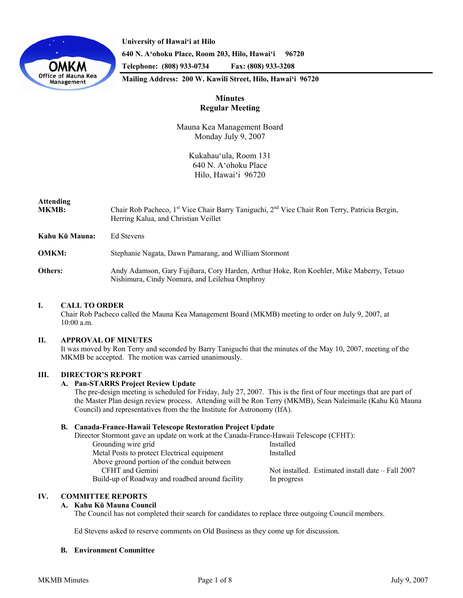



**640 N. A'ohoku Place, Room 203, Hilo, Hawai'i 96720 Telephone: (808) 933-0734 Fax: (808) 933-3208** 

**Mailing Address: 200 W. Kawili Street, Hilo, Hawai'i 96720** 

# **Minutes Regular Meeting**

Mauna Kea Management Board Monday July 9, 2007

> Kukahau'ula, Room 131 640 N. A'ohoku Place Hilo, Hawai'i 96720

# **Attending MKMB:** Chair Rob Pacheco, 1<sup>st</sup> Vice Chair Barry Taniguchi, 2<sup>nd</sup> Vice Chair Ron Terry, Patricia Bergin, Herring Kalua, and Christian Veillet

| Kahu Kū Mauna: | Ed Stevens                                                                                                                                |
|----------------|-------------------------------------------------------------------------------------------------------------------------------------------|
| <b>OMKM:</b>   | Stephanie Nagata, Dawn Pamarang, and William Stormont                                                                                     |
| Others:        | Andy Adamson, Gary Fujihara, Cory Harden, Arthur Hoke, Ron Koehler, Mike Maberry, Tetsuo<br>Nishimura, Cindy Nomura, and Leilehua Omphroy |

## **I. CALL TO ORDER**

 Chair Rob Pacheco called the Mauna Kea Management Board (MKMB) meeting to order on July 9, 2007, at 10:00 a.m.

# **II. APPROVAL OF MINUTES**

It was moved by Ron Terry and seconded by Barry Taniguchi that the minutes of the May 10, 2007, meeting of the MKMB be accepted. The motion was carried unanimously.

# **III. DIRECTOR'S REPORT**

## **A. Pan-STARRS Project Review Update**

The pre-design meeting is scheduled for Friday, July 27, 2007. This is the first of four meetings that are part of the Master Plan design review process. Attending will be Ron Terry (MKMB), Sean Naleimaile (Kahu Kū Mauna Council) and representatives from the the Institute for Astronomy (IfA).

## **B. Canada-France-Hawaii Telescope Restoration Project Update**

Director Stormont gave an update on work at the Canada-France-Hawaii Telescope (CFHT):

| Grounding wire grid                             | Installed                                         |
|-------------------------------------------------|---------------------------------------------------|
| Metal Posts to protect Electrical equipment     | Installed                                         |
| Above ground portion of the conduit between     |                                                   |
| CFHT and Gemini                                 | Not installed. Estimated install date – Fall 2007 |
| Build-up of Roadway and roadbed around facility | In progress                                       |

# **IV. COMMITTEE REPORTS**

## **A. Kahu Kū Mauna Council**

The Council has not completed their search for candidates to replace three outgoing Council members.

Ed Stevens asked to reserve comments on Old Business as they come up for discussion.

## **B. Environment Committee**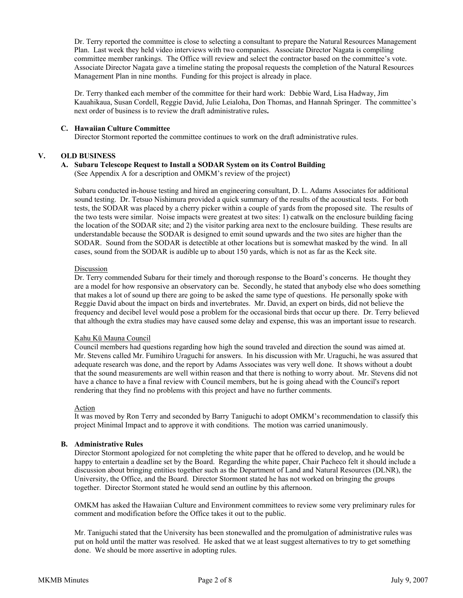Dr. Terry reported the committee is close to selecting a consultant to prepare the Natural Resources Management Plan. Last week they held video interviews with two companies. Associate Director Nagata is compiling committee member rankings. The Office will review and select the contractor based on the committee's vote. Associate Director Nagata gave a timeline stating the proposal requests the completion of the Natural Resources Management Plan in nine months. Funding for this project is already in place.

Dr. Terry thanked each member of the committee for their hard work: Debbie Ward, Lisa Hadway, Jim Kauahikaua, Susan Cordell, Reggie David, Julie Leialoha, Don Thomas, and Hannah Springer. The committee's next order of business is to review the draft administrative rules**.** 

### **C. Hawaiian Culture Committee**

Director Stormont reported the committee continues to work on the draft administrative rules.

## **V. OLD BUSINESS**

## **A. Subaru Telescope Request to Install a SODAR System on its Control Building**

(See Appendix A for a description and OMKM's review of the project)

Subaru conducted in-house testing and hired an engineering consultant, D. L. Adams Associates for additional sound testing. Dr. Tetsuo Nishimura provided a quick summary of the results of the acoustical tests. For both tests, the SODAR was placed by a cherry picker within a couple of yards from the proposed site. The results of the two tests were similar. Noise impacts were greatest at two sites: 1) catwalk on the enclosure building facing the location of the SODAR site; and 2) the visitor parking area next to the enclosure building. These results are understandable because the SODAR is designed to emit sound upwards and the two sites are higher than the SODAR. Sound from the SODAR is detectible at other locations but is somewhat masked by the wind. In all cases, sound from the SODAR is audible up to about 150 yards, which is not as far as the Keck site.

### Discussion

Dr. Terry commended Subaru for their timely and thorough response to the Board's concerns. He thought they are a model for how responsive an observatory can be. Secondly, he stated that anybody else who does something that makes a lot of sound up there are going to be asked the same type of questions. He personally spoke with Reggie David about the impact on birds and invertebrates. Mr. David, an expert on birds, did not believe the frequency and decibel level would pose a problem for the occasional birds that occur up there. Dr. Terry believed that although the extra studies may have caused some delay and expense, this was an important issue to research.

#### Kahu Kū Mauna Council

Council members had questions regarding how high the sound traveled and direction the sound was aimed at. Mr. Stevens called Mr. Fumihiro Uraguchi for answers. In his discussion with Mr. Uraguchi, he was assured that adequate research was done, and the report by Adams Associates was very well done. It shows without a doubt that the sound measurements are well within reason and that there is nothing to worry about. Mr. Stevens did not have a chance to have a final review with Council members, but he is going ahead with the Council's report rendering that they find no problems with this project and have no further comments.

#### Action

It was moved by Ron Terry and seconded by Barry Taniguchi to adopt OMKM's recommendation to classify this project Minimal Impact and to approve it with conditions. The motion was carried unanimously.

## **B. Administrative Rules**

Director Stormont apologized for not completing the white paper that he offered to develop, and he would be happy to entertain a deadline set by the Board. Regarding the white paper, Chair Pacheco felt it should include a discussion about bringing entities together such as the Department of Land and Natural Resources (DLNR), the University, the Office, and the Board. Director Stormont stated he has not worked on bringing the groups together. Director Stormont stated he would send an outline by this afternoon.

OMKM has asked the Hawaiian Culture and Environment committees to review some very preliminary rules for comment and modification before the Office takes it out to the public.

Mr. Taniguchi stated that the University has been stonewalled and the promulgation of administrative rules was put on hold until the matter was resolved. He asked that we at least suggest alternatives to try to get something done. We should be more assertive in adopting rules.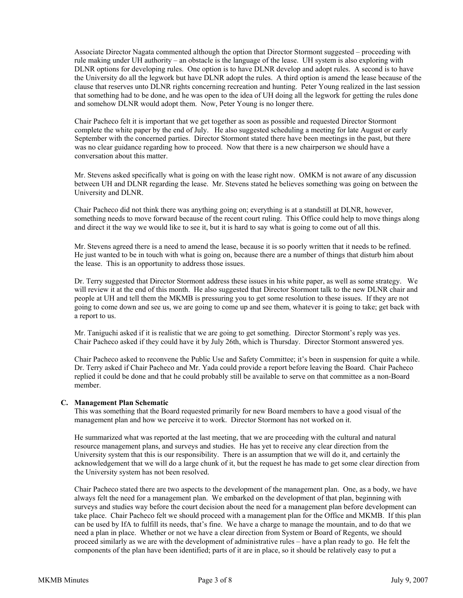Associate Director Nagata commented although the option that Director Stormont suggested – proceeding with rule making under UH authority – an obstacle is the language of the lease. UH system is also exploring with DLNR options for developing rules. One option is to have DLNR develop and adopt rules. A second is to have the University do all the legwork but have DLNR adopt the rules. A third option is amend the lease because of the clause that reserves unto DLNR rights concerning recreation and hunting. Peter Young realized in the last session that something had to be done, and he was open to the idea of UH doing all the legwork for getting the rules done and somehow DLNR would adopt them. Now, Peter Young is no longer there.

Chair Pacheco felt it is important that we get together as soon as possible and requested Director Stormont complete the white paper by the end of July. He also suggested scheduling a meeting for late August or early September with the concerned parties. Director Stormont stated there have been meetings in the past, but there was no clear guidance regarding how to proceed. Now that there is a new chairperson we should have a conversation about this matter.

Mr. Stevens asked specifically what is going on with the lease right now. OMKM is not aware of any discussion between UH and DLNR regarding the lease. Mr. Stevens stated he believes something was going on between the University and DLNR.

Chair Pacheco did not think there was anything going on; everything is at a standstill at DLNR, however, something needs to move forward because of the recent court ruling. This Office could help to move things along and direct it the way we would like to see it, but it is hard to say what is going to come out of all this.

Mr. Stevens agreed there is a need to amend the lease, because it is so poorly written that it needs to be refined. He just wanted to be in touch with what is going on, because there are a number of things that disturb him about the lease. This is an opportunity to address those issues.

Dr. Terry suggested that Director Stormont address these issues in his white paper, as well as some strategy. We will review it at the end of this month. He also suggested that Director Stormont talk to the new DLNR chair and people at UH and tell them the MKMB is pressuring you to get some resolution to these issues. If they are not going to come down and see us, we are going to come up and see them, whatever it is going to take; get back with a report to us.

Mr. Taniguchi asked if it is realistic that we are going to get something. Director Stormont's reply was yes. Chair Pacheco asked if they could have it by July 26th, which is Thursday. Director Stormont answered yes.

Chair Pacheco asked to reconvene the Public Use and Safety Committee; it's been in suspension for quite a while. Dr. Terry asked if Chair Pacheco and Mr. Yada could provide a report before leaving the Board. Chair Pacheco replied it could be done and that he could probably still be available to serve on that committee as a non-Board member.

## **C. Management Plan Schematic**

This was something that the Board requested primarily for new Board members to have a good visual of the management plan and how we perceive it to work. Director Stormont has not worked on it.

He summarized what was reported at the last meeting, that we are proceeding with the cultural and natural resource management plans, and surveys and studies. He has yet to receive any clear direction from the University system that this is our responsibility. There is an assumption that we will do it, and certainly the acknowledgement that we will do a large chunk of it, but the request he has made to get some clear direction from the University system has not been resolved.

Chair Pacheco stated there are two aspects to the development of the management plan. One, as a body, we have always felt the need for a management plan. We embarked on the development of that plan, beginning with surveys and studies way before the court decision about the need for a management plan before development can take place. Chair Pacheco felt we should proceed with a management plan for the Office and MKMB. If this plan can be used by IfA to fulfill its needs, that's fine. We have a charge to manage the mountain, and to do that we need a plan in place. Whether or not we have a clear direction from System or Board of Regents, we should proceed similarly as we are with the development of administrative rules – have a plan ready to go. He felt the components of the plan have been identified; parts of it are in place, so it should be relatively easy to put a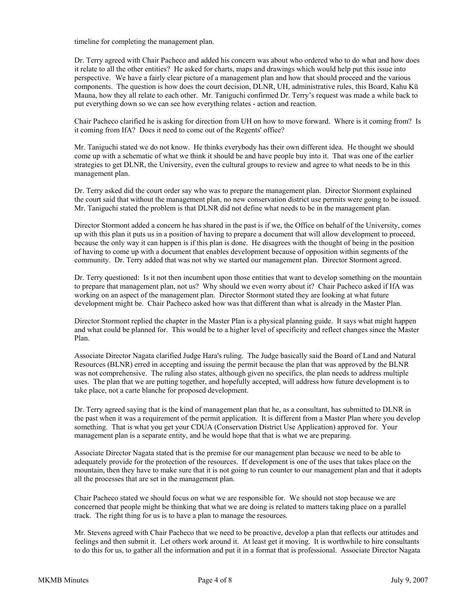timeline for completing the management plan.

Dr. Terry agreed with Chair Pacheco and added his concern was about who ordered who to do what and how does it relate to all the other entities? He asked for charts, maps and drawings which would help put this issue into perspective. We have a fairly clear picture of a management plan and how that should proceed and the various components. The question is how does the court decision, DLNR, UH, administrative rules, this Board, Kahu Kū Mauna, how they all relate to each other. Mr. Taniguchi confirmed Dr. Terry's request was made a while back to put everything down so we can see how everything relates - action and reaction.

Chair Pacheco clarified he is asking for direction from UH on how to move forward. Where is it coming from? Is it coming from IfA? Does it need to come out of the Regents' office?

Mr. Taniguchi stated we do not know. He thinks everybody has their own different idea. He thought we should come up with a schematic of what we think it should be and have people buy into it. That was one of the earlier strategies to get DLNR, the University, even the cultural groups to review and agree to what needs to be in this management plan.

Dr. Terry asked did the court order say who was to prepare the management plan. Director Stormont explained the court said that without the management plan, no new conservation district use permits were going to be issued. Mr. Taniguchi stated the problem is that DLNR did not define what needs to be in the management plan.

Director Stormont added a concern he has shared in the past is if we, the Office on behalf of the University, comes up with this plan it puts us in a position of having to prepare a document that will allow development to proceed, because the only way it can happen is if this plan is done. He disagrees with the thought of being in the position of having to come up with a document that enables development because of opposition within segments of the community. Dr. Terry added that was not why we started our management plan. Director Stormont agreed.

Dr. Terry questioned: Is it not then incumbent upon those entities that want to develop something on the mountain to prepare that management plan, not us? Why should we even worry about it? Chair Pacheco asked if IfA was working on an aspect of the management plan. Director Stormont stated they are looking at what future development might be. Chair Pacheco asked how was that different than what is already in the Master Plan.

Director Stormont replied the chapter in the Master Plan is a physical planning guide. It says what might happen and what could be planned for. This would be to a higher level of specificity and reflect changes since the Master Plan.

Associate Director Nagata clarified Judge Hara's ruling. The Judge basically said the Board of Land and Natural Resources (BLNR) erred in accepting and issuing the permit because the plan that was approved by the BLNR was not comprehensive. The ruling also states, although given no specifics, the plan needs to address multiple uses. The plan that we are putting together, and hopefully accepted, will address how future development is to take place, not a carte blanche for proposed development.

Dr. Terry agreed saying that is the kind of management plan that he, as a consultant, has submitted to DLNR in the past when it was a requirement of the permit application. It is different from a Master Plan where you develop something. That is what you get your CDUA (Conservation District Use Application) approved for. Your management plan is a separate entity, and he would hope that that is what we are preparing.

Associate Director Nagata stated that is the premise for our management plan because we need to be able to adequately provide for the protection of the resources. If development is one of the uses that takes place on the mountain, then they have to make sure that it is not going to run counter to our management plan and that it adopts all the processes that are set in the management plan.

Chair Pacheco stated we should focus on what we are responsible for. We should not stop because we are concerned that people might be thinking that what we are doing is related to matters taking place on a parallel track. The right thing for us is to have a plan to manage the resources.

Mr. Stevens agreed with Chair Pacheco that we need to be proactive, develop a plan that reflects our attitudes and feelings and then submit it. Let others work around it. At least get it moving. It is worthwhile to hire consultants to do this for us, to gather all the information and put it in a format that is professional. Associate Director Nagata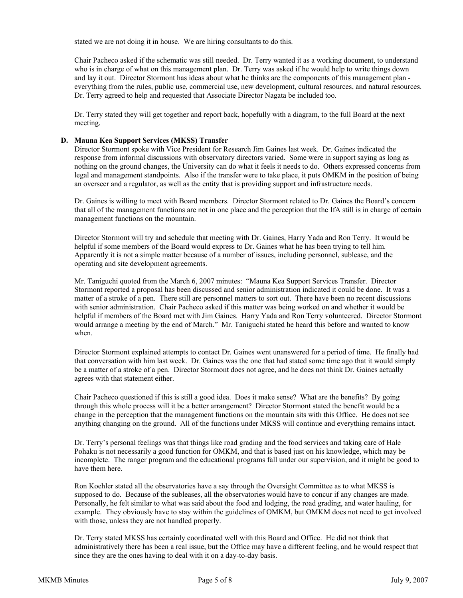stated we are not doing it in house. We are hiring consultants to do this.

Chair Pacheco asked if the schematic was still needed. Dr. Terry wanted it as a working document, to understand who is in charge of what on this management plan. Dr. Terry was asked if he would help to write things down and lay it out. Director Stormont has ideas about what he thinks are the components of this management plan everything from the rules, public use, commercial use, new development, cultural resources, and natural resources. Dr. Terry agreed to help and requested that Associate Director Nagata be included too.

Dr. Terry stated they will get together and report back, hopefully with a diagram, to the full Board at the next meeting.

### **D. Mauna Kea Support Services (MKSS) Transfer**

Director Stormont spoke with Vice President for Research Jim Gaines last week. Dr. Gaines indicated the response from informal discussions with observatory directors varied. Some were in support saying as long as nothing on the ground changes, the University can do what it feels it needs to do. Others expressed concerns from legal and management standpoints. Also if the transfer were to take place, it puts OMKM in the position of being an overseer and a regulator, as well as the entity that is providing support and infrastructure needs.

Dr. Gaines is willing to meet with Board members. Director Stormont related to Dr. Gaines the Board's concern that all of the management functions are not in one place and the perception that the IfA still is in charge of certain management functions on the mountain.

Director Stormont will try and schedule that meeting with Dr. Gaines, Harry Yada and Ron Terry. It would be helpful if some members of the Board would express to Dr. Gaines what he has been trying to tell him. Apparently it is not a simple matter because of a number of issues, including personnel, sublease, and the operating and site development agreements.

Mr. Taniguchi quoted from the March 6, 2007 minutes: "Mauna Kea Support Services Transfer. Director Stormont reported a proposal has been discussed and senior administration indicated it could be done. It was a matter of a stroke of a pen. There still are personnel matters to sort out. There have been no recent discussions with senior administration. Chair Pacheco asked if this matter was being worked on and whether it would be helpful if members of the Board met with Jim Gaines. Harry Yada and Ron Terry volunteered. Director Stormont would arrange a meeting by the end of March." Mr. Taniguchi stated he heard this before and wanted to know when.

Director Stormont explained attempts to contact Dr. Gaines went unanswered for a period of time. He finally had that conversation with him last week. Dr. Gaines was the one that had stated some time ago that it would simply be a matter of a stroke of a pen. Director Stormont does not agree, and he does not think Dr. Gaines actually agrees with that statement either.

Chair Pacheco questioned if this is still a good idea. Does it make sense? What are the benefits? By going through this whole process will it be a better arrangement? Director Stormont stated the benefit would be a change in the perception that the management functions on the mountain sits with this Office. He does not see anything changing on the ground. All of the functions under MKSS will continue and everything remains intact.

Dr. Terry's personal feelings was that things like road grading and the food services and taking care of Hale Pohaku is not necessarily a good function for OMKM, and that is based just on his knowledge, which may be incomplete. The ranger program and the educational programs fall under our supervision, and it might be good to have them here.

Ron Koehler stated all the observatories have a say through the Oversight Committee as to what MKSS is supposed to do. Because of the subleases, all the observatories would have to concur if any changes are made. Personally, he felt similar to what was said about the food and lodging, the road grading, and water hauling, for example. They obviously have to stay within the guidelines of OMKM, but OMKM does not need to get involved with those, unless they are not handled properly.

Dr. Terry stated MKSS has certainly coordinated well with this Board and Office. He did not think that administratively there has been a real issue, but the Office may have a different feeling, and he would respect that since they are the ones having to deal with it on a day-to-day basis.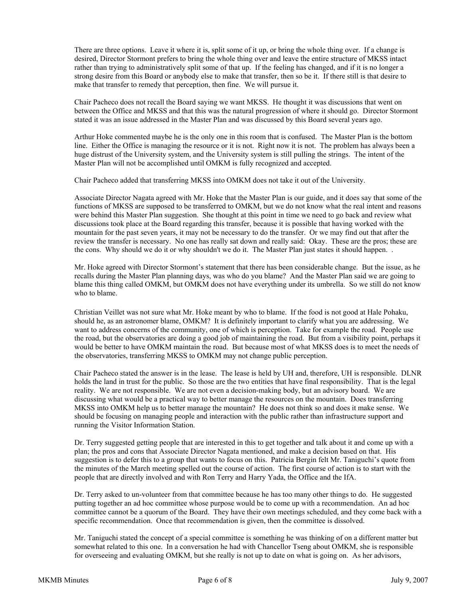There are three options. Leave it where it is, split some of it up, or bring the whole thing over. If a change is desired, Director Stormont prefers to bring the whole thing over and leave the entire structure of MKSS intact rather than trying to administratively split some of that up. If the feeling has changed, and if it is no longer a strong desire from this Board or anybody else to make that transfer, then so be it. If there still is that desire to make that transfer to remedy that perception, then fine. We will pursue it.

Chair Pacheco does not recall the Board saying we want MKSS. He thought it was discussions that went on between the Office and MKSS and that this was the natural progression of where it should go. Director Stormont stated it was an issue addressed in the Master Plan and was discussed by this Board several years ago.

Arthur Hoke commented maybe he is the only one in this room that is confused. The Master Plan is the bottom line. Either the Office is managing the resource or it is not. Right now it is not. The problem has always been a huge distrust of the University system, and the University system is still pulling the strings. The intent of the Master Plan will not be accomplished until OMKM is fully recognized and accepted.

Chair Pacheco added that transferring MKSS into OMKM does not take it out of the University.

Associate Director Nagata agreed with Mr. Hoke that the Master Plan is our guide, and it does say that some of the functions of MKSS are supposed to be transferred to OMKM, but we do not know what the real intent and reasons were behind this Master Plan suggestion. She thought at this point in time we need to go back and review what discussions took place at the Board regarding this transfer, because it is possible that having worked with the mountain for the past seven years, it may not be necessary to do the transfer. Or we may find out that after the review the transfer is necessary. No one has really sat down and really said: Okay. These are the pros; these are the cons. Why should we do it or why shouldn't we do it. The Master Plan just states it should happen. .

Mr. Hoke agreed with Director Stormont's statement that there has been considerable change. But the issue, as he recalls during the Master Plan planning days, was who do you blame? And the Master Plan said we are going to blame this thing called OMKM, but OMKM does not have everything under its umbrella. So we still do not know who to blame.

Christian Veillet was not sure what Mr. Hoke meant by who to blame. If the food is not good at Hale Pohaku, should he, as an astronomer blame, OMKM? It is definitely important to clarify what you are addressing. We want to address concerns of the community, one of which is perception. Take for example the road. People use the road, but the observatories are doing a good job of maintaining the road. But from a visibility point, perhaps it would be better to have OMKM maintain the road. But because most of what MKSS does is to meet the needs of the observatories, transferring MKSS to OMKM may not change public perception.

Chair Pacheco stated the answer is in the lease. The lease is held by UH and, therefore, UH is responsible. DLNR holds the land in trust for the public. So those are the two entities that have final responsibility. That is the legal reality. We are not responsible. We are not even a decision-making body, but an advisory board. We are discussing what would be a practical way to better manage the resources on the mountain. Does transferring MKSS into OMKM help us to better manage the mountain? He does not think so and does it make sense. We should be focusing on managing people and interaction with the public rather than infrastructure support and running the Visitor Information Station.

Dr. Terry suggested getting people that are interested in this to get together and talk about it and come up with a plan; the pros and cons that Associate Director Nagata mentioned, and make a decision based on that. His suggestion is to defer this to a group that wants to focus on this. Patricia Bergin felt Mr. Taniguchi's quote from the minutes of the March meeting spelled out the course of action. The first course of action is to start with the people that are directly involved and with Ron Terry and Harry Yada, the Office and the IfA.

Dr. Terry asked to un-volunteer from that committee because he has too many other things to do. He suggested putting together an ad hoc committee whose purpose would be to come up with a recommendation. An ad hoc committee cannot be a quorum of the Board. They have their own meetings scheduled, and they come back with a specific recommendation. Once that recommendation is given, then the committee is dissolved.

Mr. Taniguchi stated the concept of a special committee is something he was thinking of on a different matter but somewhat related to this one. In a conversation he had with Chancellor Tseng about OMKM, she is responsible for overseeing and evaluating OMKM, but she really is not up to date on what is going on. As her advisors,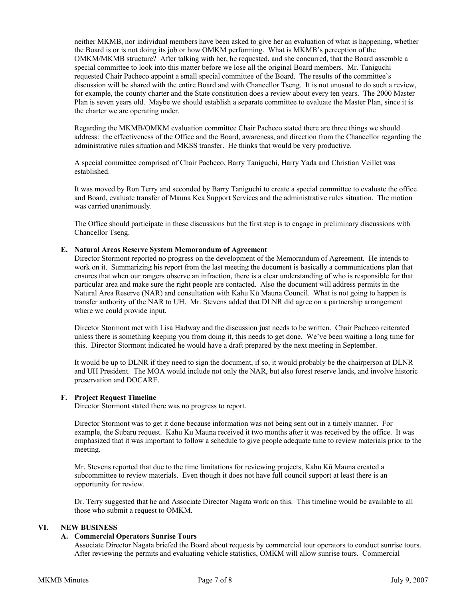neither MKMB, nor individual members have been asked to give her an evaluation of what is happening, whether the Board is or is not doing its job or how OMKM performing. What is MKMB's perception of the OMKM/MKMB structure? After talking with her, he requested, and she concurred, that the Board assemble a special committee to look into this matter before we lose all the original Board members. Mr. Taniguchi requested Chair Pacheco appoint a small special committee of the Board. The results of the committee's discussion will be shared with the entire Board and with Chancellor Tseng. It is not unusual to do such a review, for example, the county charter and the State constitution does a review about every ten years. The 2000 Master Plan is seven years old. Maybe we should establish a separate committee to evaluate the Master Plan, since it is the charter we are operating under.

Regarding the MKMB/OMKM evaluation committee Chair Pacheco stated there are three things we should address: the effectiveness of the Office and the Board, awareness, and direction from the Chancellor regarding the administrative rules situation and MKSS transfer. He thinks that would be very productive.

A special committee comprised of Chair Pacheco, Barry Taniguchi, Harry Yada and Christian Veillet was established.

It was moved by Ron Terry and seconded by Barry Taniguchi to create a special committee to evaluate the office and Board, evaluate transfer of Mauna Kea Support Services and the administrative rules situation. The motion was carried unanimously.

The Office should participate in these discussions but the first step is to engage in preliminary discussions with Chancellor Tseng.

#### **E. Natural Areas Reserve System Memorandum of Agreement**

Director Stormont reported no progress on the development of the Memorandum of Agreement. He intends to work on it. Summarizing his report from the last meeting the document is basically a communications plan that ensures that when our rangers observe an infraction, there is a clear understanding of who is responsible for that particular area and make sure the right people are contacted. Also the document will address permits in the Natural Area Reserve (NAR) and consultation with Kahu Kū Mauna Council. What is not going to happen is transfer authority of the NAR to UH. Mr. Stevens added that DLNR did agree on a partnership arrangement where we could provide input.

Director Stormont met with Lisa Hadway and the discussion just needs to be written. Chair Pacheco reiterated unless there is something keeping you from doing it, this needs to get done. We've been waiting a long time for this. Director Stormont indicated he would have a draft prepared by the next meeting in September.

It would be up to DLNR if they need to sign the document, if so, it would probably be the chairperson at DLNR and UH President. The MOA would include not only the NAR, but also forest reserve lands, and involve historic preservation and DOCARE.

#### **F. Project Request Timeline**

Director Stormont stated there was no progress to report.

Director Stormont was to get it done because information was not being sent out in a timely manner. For example, the Subaru request. Kahu Ku Mauna received it two months after it was received by the office. It was emphasized that it was important to follow a schedule to give people adequate time to review materials prior to the meeting.

Mr. Stevens reported that due to the time limitations for reviewing projects, Kahu Kū Mauna created a subcommittee to review materials. Even though it does not have full council support at least there is an opportunity for review.

Dr. Terry suggested that he and Associate Director Nagata work on this. This timeline would be available to all those who submit a request to OMKM.

### **VI. NEW BUSINESS**

#### **A. Commercial Operators Sunrise Tours**

Associate Director Nagata briefed the Board about requests by commercial tour operators to conduct sunrise tours. After reviewing the permits and evaluating vehicle statistics, OMKM will allow sunrise tours. Commercial